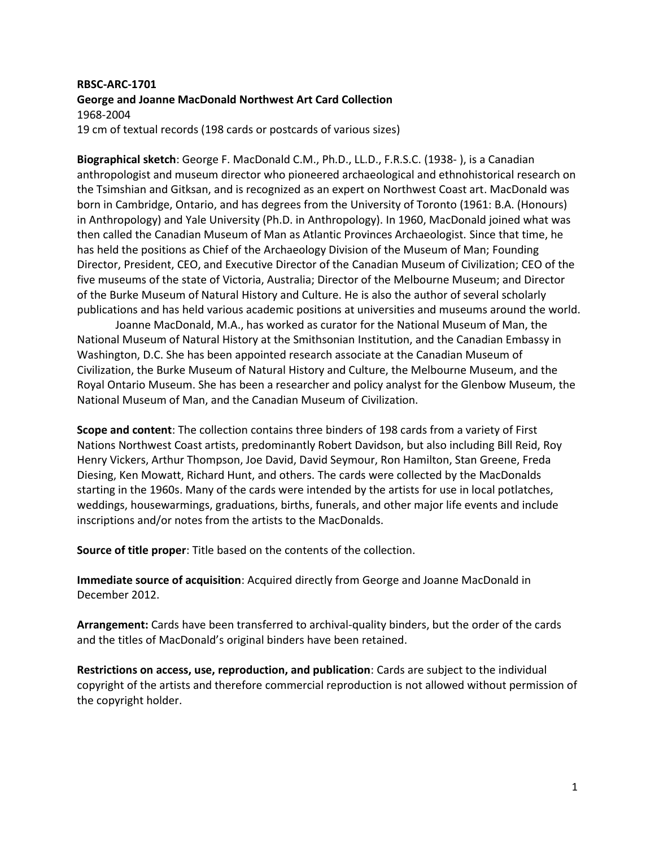## **RBSC-ARC-1701 George and Joanne MacDonald Northwest Art Card Collection** 1968-2004 19 cm of textual records (198 cards or postcards of various sizes)

**Biographical sketch**: George F. MacDonald C.M., Ph.D., LL.D., F.R.S.C. (1938- ), is a Canadian anthropologist and museum director who pioneered archaeological and ethnohistorical research on the Tsimshian and Gitksan, and is recognized as an expert on Northwest Coast art. MacDonald was born in Cambridge, Ontario, and has degrees from the University of Toronto (1961: B.A. (Honours) in Anthropology) and Yale University (Ph.D. in Anthropology). In 1960, MacDonald joined what was then called the Canadian Museum of Man as Atlantic Provinces Archaeologist. Since that time, he has held the positions as Chief of the Archaeology Division of the Museum of Man; Founding Director, President, CEO, and Executive Director of the Canadian Museum of Civilization; CEO of the five museums of the state of Victoria, Australia; Director of the Melbourne Museum; and Director of the Burke Museum of Natural History and Culture. He is also the author of several scholarly publications and has held various academic positions at universities and museums around the world.

Joanne MacDonald, M.A., has worked as curator for the National Museum of Man, the National Museum of Natural History at the Smithsonian Institution, and the Canadian Embassy in Washington, D.C. She has been appointed research associate at the Canadian Museum of Civilization, the Burke Museum of Natural History and Culture, the Melbourne Museum, and the Royal Ontario Museum. She has been a researcher and policy analyst for the Glenbow Museum, the National Museum of Man, and the Canadian Museum of Civilization.

**Scope and content**: The collection contains three binders of 198 cards from a variety of First Nations Northwest Coast artists, predominantly Robert Davidson, but also including Bill Reid, Roy Henry Vickers, Arthur Thompson, Joe David, David Seymour, Ron Hamilton, Stan Greene, Freda Diesing, Ken Mowatt, Richard Hunt, and others. The cards were collected by the MacDonalds starting in the 1960s. Many of the cards were intended by the artists for use in local potlatches, weddings, housewarmings, graduations, births, funerals, and other major life events and include inscriptions and/or notes from the artists to the MacDonalds.

**Source of title proper**: Title based on the contents of the collection.

**Immediate source of acquisition**: Acquired directly from George and Joanne MacDonald in December 2012.

**Arrangement:** Cards have been transferred to archival-quality binders, but the order of the cards and the titles of MacDonald's original binders have been retained.

**Restrictions on access, use, reproduction, and publication**: Cards are subject to the individual copyright of the artists and therefore commercial reproduction is not allowed without permission of the copyright holder.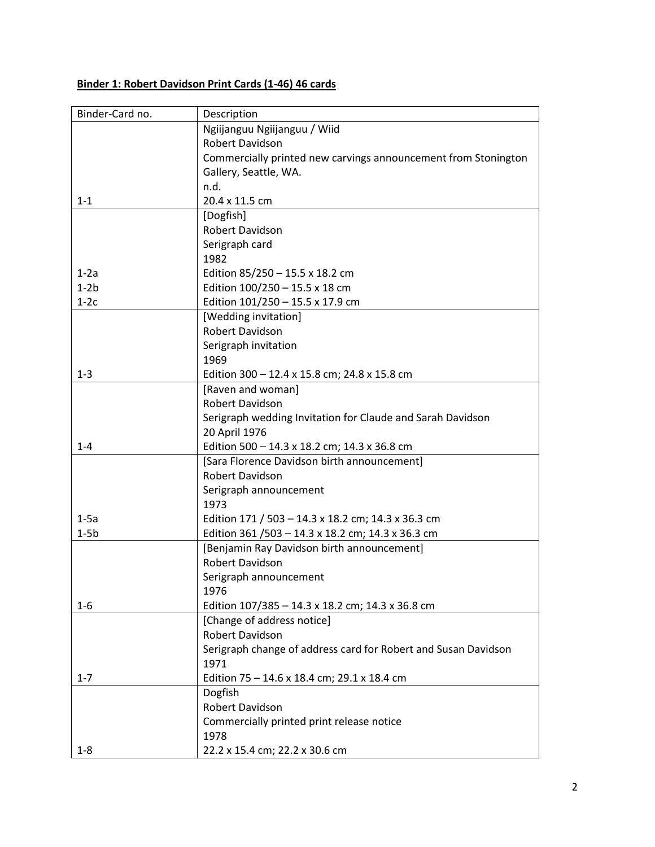## **Binder 1: Robert Davidson Print Cards (1-46) 46 cards**

| Binder-Card no. | Description                                                    |
|-----------------|----------------------------------------------------------------|
|                 | Ngiijanguu Ngiijanguu / Wiid                                   |
|                 | <b>Robert Davidson</b>                                         |
|                 | Commercially printed new carvings announcement from Stonington |
|                 | Gallery, Seattle, WA.                                          |
|                 | n.d.                                                           |
| $1 - 1$         | 20.4 x 11.5 cm                                                 |
|                 | [Dogfish]                                                      |
|                 | Robert Davidson                                                |
|                 | Serigraph card                                                 |
|                 | 1982                                                           |
|                 |                                                                |
| $1-2a$          | Edition 85/250 - 15.5 x 18.2 cm                                |
| $1-2b$          | Edition 100/250 - 15.5 x 18 cm                                 |
| $1-2c$          | Edition 101/250 - 15.5 x 17.9 cm                               |
|                 | [Wedding invitation]                                           |
|                 | Robert Davidson                                                |
|                 | Serigraph invitation                                           |
|                 | 1969                                                           |
| $1 - 3$         | Edition 300 - 12.4 x 15.8 cm; 24.8 x 15.8 cm                   |
|                 | [Raven and woman]                                              |
|                 | Robert Davidson                                                |
|                 | Serigraph wedding Invitation for Claude and Sarah Davidson     |
|                 | 20 April 1976                                                  |
| $1 - 4$         | Edition 500 - 14.3 x 18.2 cm; 14.3 x 36.8 cm                   |
|                 | [Sara Florence Davidson birth announcement]                    |
|                 | Robert Davidson                                                |
|                 | Serigraph announcement                                         |
|                 | 1973                                                           |
| $1-5a$          | Edition 171 / 503 - 14.3 x 18.2 cm; 14.3 x 36.3 cm             |
| $1-5b$          | Edition 361 / 503 - 14.3 x 18.2 cm; 14.3 x 36.3 cm             |
|                 | [Benjamin Ray Davidson birth announcement]                     |
|                 | Robert Davidson                                                |
|                 | Serigraph announcement                                         |
|                 | 1976                                                           |
| $1 - 6$         | Edition 107/385 - 14.3 x 18.2 cm; 14.3 x 36.8 cm               |
|                 | [Change of address notice]                                     |
|                 | Robert Davidson                                                |
|                 | Serigraph change of address card for Robert and Susan Davidson |
|                 |                                                                |
|                 | 1971                                                           |
| $1 - 7$         | Edition 75 - 14.6 x 18.4 cm; 29.1 x 18.4 cm                    |
|                 | Dogfish                                                        |
|                 | Robert Davidson                                                |
|                 | Commercially printed print release notice                      |
|                 | 1978                                                           |
| $1 - 8$         | 22.2 x 15.4 cm; 22.2 x 30.6 cm                                 |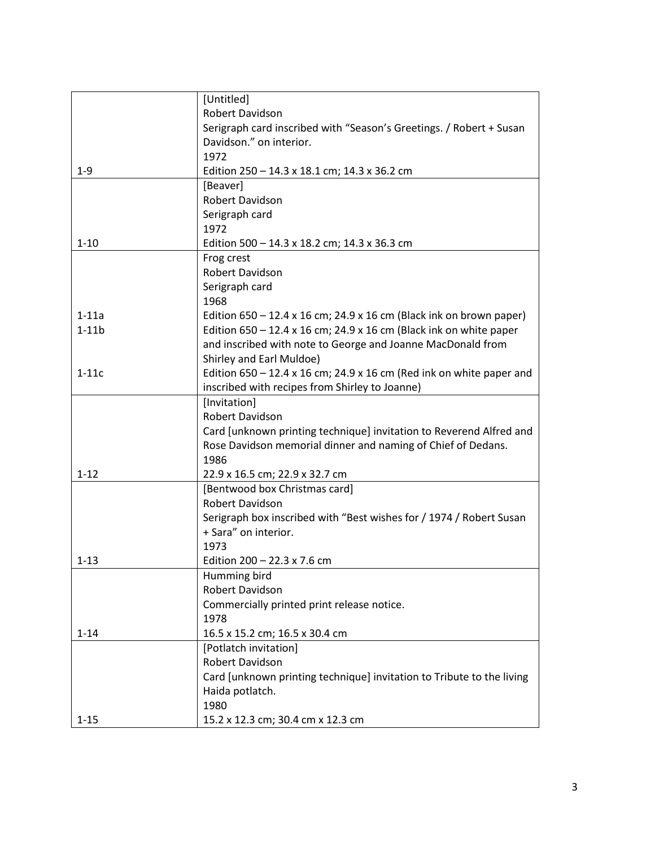|          | [Untitled]                                                                  |
|----------|-----------------------------------------------------------------------------|
|          | <b>Robert Davidson</b>                                                      |
|          | Serigraph card inscribed with "Season's Greetings. / Robert + Susan         |
|          | Davidson." on interior.                                                     |
|          | 1972                                                                        |
| $1 - 9$  | Edition 250 - 14.3 x 18.1 cm; 14.3 x 36.2 cm                                |
|          | [Beaver]                                                                    |
|          | Robert Davidson                                                             |
|          | Serigraph card                                                              |
|          | 1972                                                                        |
| $1 - 10$ | Edition 500 - 14.3 x 18.2 cm; 14.3 x 36.3 cm                                |
|          | Frog crest                                                                  |
|          | Robert Davidson                                                             |
|          | Serigraph card                                                              |
|          | 1968                                                                        |
| $1-11a$  | Edition $650 - 12.4 \times 16$ cm; 24.9 x 16 cm (Black ink on brown paper)  |
| $1-11b$  | Edition $650 - 12.4 \times 16$ cm; 24.9 x 16 cm (Black ink on white paper   |
|          | and inscribed with note to George and Joanne MacDonald from                 |
|          | Shirley and Earl Muldoe)                                                    |
| $1-11c$  | Edition $650 - 12.4 \times 16$ cm; 24.9 x 16 cm (Red ink on white paper and |
|          | inscribed with recipes from Shirley to Joanne)                              |
|          | [Invitation]                                                                |
|          | Robert Davidson                                                             |
|          | Card [unknown printing technique] invitation to Reverend Alfred and         |
|          | Rose Davidson memorial dinner and naming of Chief of Dedans.                |
|          | 1986                                                                        |
| $1 - 12$ | 22.9 x 16.5 cm; 22.9 x 32.7 cm                                              |
|          | [Bentwood box Christmas card]                                               |
|          | <b>Robert Davidson</b>                                                      |
|          | Serigraph box inscribed with "Best wishes for / 1974 / Robert Susan         |
|          | + Sara" on interior.                                                        |
|          | 1973                                                                        |
| $1 - 13$ | Edition $200 - 22.3 \times 7.6$ cm                                          |
|          | Humming bird                                                                |
|          | Robert Davidson                                                             |
|          | Commercially printed print release notice.                                  |
|          | 1978                                                                        |
| $1 - 14$ | 16.5 x 15.2 cm; 16.5 x 30.4 cm                                              |
|          | [Potlatch invitation]                                                       |
|          | Robert Davidson                                                             |
|          | Card [unknown printing technique] invitation to Tribute to the living       |
|          | Haida potlatch.                                                             |
|          | 1980                                                                        |
| $1 - 15$ | 15.2 x 12.3 cm; 30.4 cm x 12.3 cm                                           |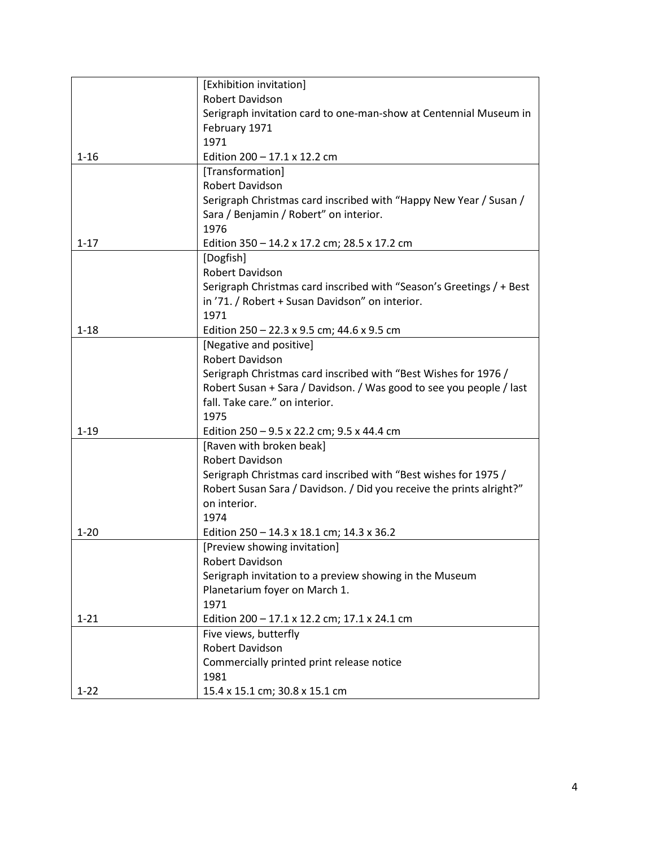|          | [Exhibition invitation]                                              |
|----------|----------------------------------------------------------------------|
|          | Robert Davidson                                                      |
|          | Serigraph invitation card to one-man-show at Centennial Museum in    |
|          | February 1971                                                        |
|          | 1971                                                                 |
| $1 - 16$ | Edition $200 - 17.1 \times 12.2$ cm                                  |
|          | [Transformation]                                                     |
|          | <b>Robert Davidson</b>                                               |
|          | Serigraph Christmas card inscribed with "Happy New Year / Susan /    |
|          | Sara / Benjamin / Robert" on interior.                               |
|          | 1976                                                                 |
| $1 - 17$ | Edition 350 - 14.2 x 17.2 cm; 28.5 x 17.2 cm                         |
|          | [Dogfish]                                                            |
|          | Robert Davidson                                                      |
|          | Serigraph Christmas card inscribed with "Season's Greetings / + Best |
|          | in '71. / Robert + Susan Davidson" on interior.                      |
|          | 1971                                                                 |
| $1 - 18$ | Edition 250 - 22.3 x 9.5 cm; 44.6 x 9.5 cm                           |
|          | [Negative and positive]                                              |
|          | Robert Davidson                                                      |
|          | Serigraph Christmas card inscribed with "Best Wishes for 1976 /      |
|          | Robert Susan + Sara / Davidson. / Was good to see you people / last  |
|          | fall. Take care." on interior.                                       |
|          | 1975                                                                 |
| $1 - 19$ | Edition 250 - 9.5 x 22.2 cm; 9.5 x 44.4 cm                           |
|          | [Raven with broken beak]                                             |
|          | Robert Davidson                                                      |
|          | Serigraph Christmas card inscribed with "Best wishes for 1975 /      |
|          | Robert Susan Sara / Davidson. / Did you receive the prints alright?" |
|          | on interior.                                                         |
|          | 1974                                                                 |
| $1 - 20$ | Edition 250 - 14.3 x 18.1 cm; 14.3 x 36.2                            |
|          | [Preview showing invitation]                                         |
|          | Robert Davidson                                                      |
|          | Serigraph invitation to a preview showing in the Museum              |
|          | Planetarium foyer on March 1.                                        |
|          | 1971                                                                 |
| $1 - 21$ | Edition 200 - 17.1 x 12.2 cm; 17.1 x 24.1 cm                         |
|          | Five views, butterfly                                                |
|          | Robert Davidson                                                      |
|          | Commercially printed print release notice                            |
|          | 1981                                                                 |
| $1 - 22$ | 15.4 x 15.1 cm; 30.8 x 15.1 cm                                       |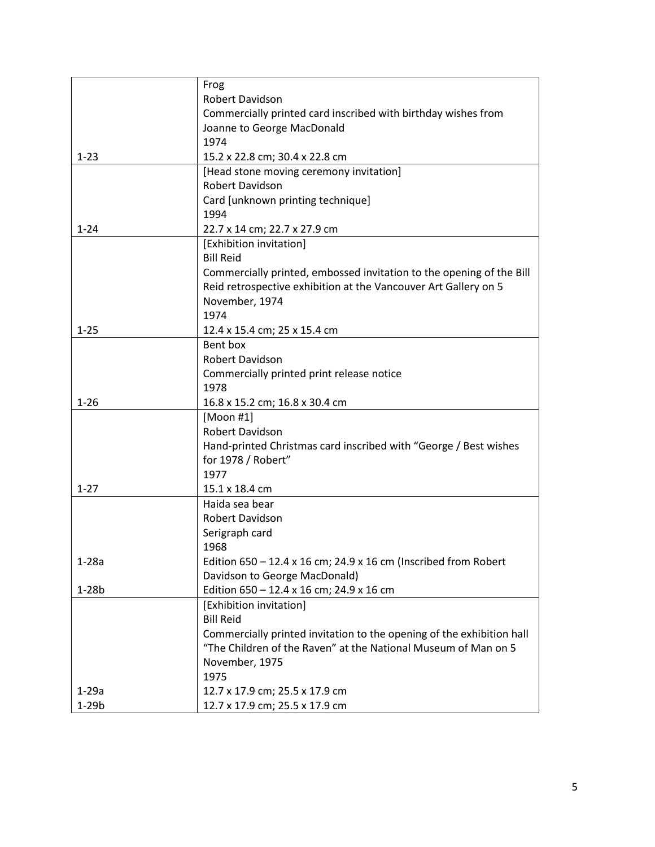|          | Frog                                                                   |
|----------|------------------------------------------------------------------------|
|          | Robert Davidson                                                        |
|          | Commercially printed card inscribed with birthday wishes from          |
|          | Joanne to George MacDonald                                             |
|          | 1974                                                                   |
| $1 - 23$ | 15.2 x 22.8 cm; 30.4 x 22.8 cm                                         |
|          | [Head stone moving ceremony invitation]                                |
|          | Robert Davidson                                                        |
|          | Card [unknown printing technique]                                      |
|          | 1994                                                                   |
| $1 - 24$ | 22.7 x 14 cm; 22.7 x 27.9 cm                                           |
|          | [Exhibition invitation]                                                |
|          | <b>Bill Reid</b>                                                       |
|          | Commercially printed, embossed invitation to the opening of the Bill   |
|          | Reid retrospective exhibition at the Vancouver Art Gallery on 5        |
|          | November, 1974                                                         |
|          | 1974                                                                   |
| $1 - 25$ | 12.4 x 15.4 cm; 25 x 15.4 cm                                           |
|          | Bent box                                                               |
|          | Robert Davidson                                                        |
|          | Commercially printed print release notice                              |
|          | 1978                                                                   |
| $1 - 26$ | 16.8 x 15.2 cm; 16.8 x 30.4 cm                                         |
|          | [Moon #1]                                                              |
|          | Robert Davidson                                                        |
|          | Hand-printed Christmas card inscribed with "George / Best wishes       |
|          | for 1978 / Robert"                                                     |
|          | 1977                                                                   |
| $1 - 27$ | 15.1 x 18.4 cm                                                         |
|          | Haida sea bear                                                         |
|          | Robert Davidson                                                        |
|          | Serigraph card                                                         |
|          | 1968                                                                   |
| $1-28a$  | Edition $650 - 12.4 \times 16$ cm; 24.9 x 16 cm (Inscribed from Robert |
|          | Davidson to George MacDonald)                                          |
| $1-28b$  | Edition 650 - 12.4 x 16 cm; 24.9 x 16 cm                               |
|          | [Exhibition invitation]                                                |
|          | <b>Bill Reid</b>                                                       |
|          | Commercially printed invitation to the opening of the exhibition hall  |
|          | "The Children of the Raven" at the National Museum of Man on 5         |
|          | November, 1975                                                         |
|          | 1975                                                                   |
| 1-29a    | 12.7 x 17.9 cm; 25.5 x 17.9 cm                                         |
| $1-29b$  | 12.7 x 17.9 cm; 25.5 x 17.9 cm                                         |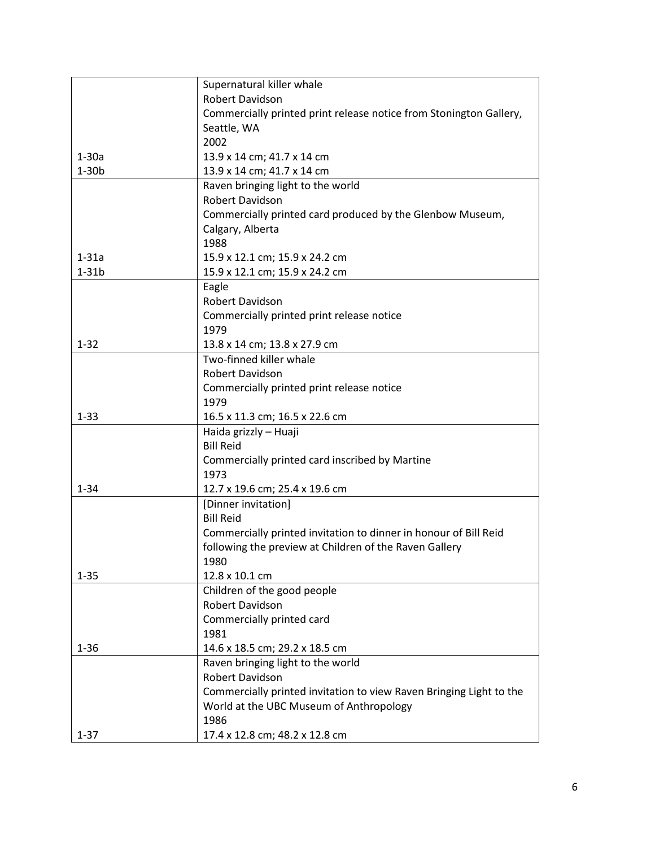| Supernatural killer whale<br>Robert Davidson                        |  |
|---------------------------------------------------------------------|--|
|                                                                     |  |
|                                                                     |  |
| Commercially printed print release notice from Stonington Gallery,  |  |
| Seattle, WA                                                         |  |
| 2002                                                                |  |
| $1-30a$<br>13.9 x 14 cm; 41.7 x 14 cm                               |  |
| 13.9 x 14 cm; 41.7 x 14 cm<br>$1-30b$                               |  |
| Raven bringing light to the world                                   |  |
| Robert Davidson                                                     |  |
| Commercially printed card produced by the Glenbow Museum,           |  |
| Calgary, Alberta                                                    |  |
| 1988                                                                |  |
| $1-31a$<br>15.9 x 12.1 cm; 15.9 x 24.2 cm                           |  |
| $1-31b$<br>15.9 x 12.1 cm; 15.9 x 24.2 cm                           |  |
| Eagle                                                               |  |
| Robert Davidson                                                     |  |
| Commercially printed print release notice                           |  |
| 1979                                                                |  |
| $1 - 32$<br>13.8 x 14 cm; 13.8 x 27.9 cm                            |  |
| Two-finned killer whale                                             |  |
| Robert Davidson                                                     |  |
|                                                                     |  |
| Commercially printed print release notice                           |  |
| 1979                                                                |  |
| $1 - 33$<br>16.5 x 11.3 cm; 16.5 x 22.6 cm                          |  |
| Haida grizzly - Huaji                                               |  |
| <b>Bill Reid</b>                                                    |  |
| Commercially printed card inscribed by Martine                      |  |
| 1973                                                                |  |
| $1 - 34$<br>12.7 x 19.6 cm; 25.4 x 19.6 cm                          |  |
| [Dinner invitation]                                                 |  |
| <b>Bill Reid</b>                                                    |  |
| Commercially printed invitation to dinner in honour of Bill Reid    |  |
| following the preview at Children of the Raven Gallery              |  |
| 1980                                                                |  |
| 12.8 x 10.1 cm<br>$1 - 35$                                          |  |
| Children of the good people                                         |  |
| Robert Davidson                                                     |  |
| Commercially printed card                                           |  |
| 1981                                                                |  |
| $1 - 36$<br>14.6 x 18.5 cm; 29.2 x 18.5 cm                          |  |
| Raven bringing light to the world                                   |  |
| Robert Davidson                                                     |  |
| Commercially printed invitation to view Raven Bringing Light to the |  |
| World at the UBC Museum of Anthropology                             |  |
| 1986                                                                |  |
|                                                                     |  |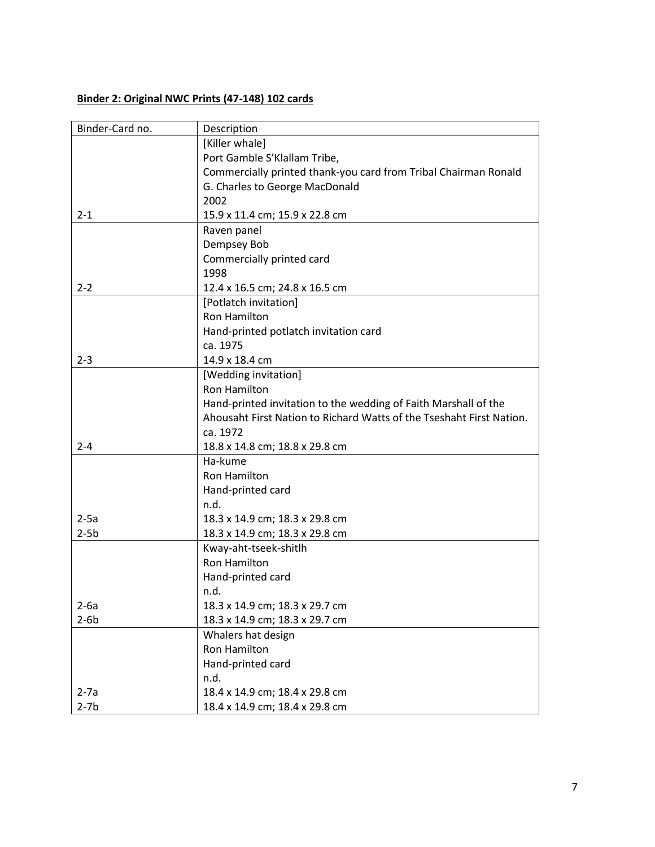## **Binder 2: Original NWC Prints (47-148) 102 cards**

| Binder-Card no. | Description                                                          |
|-----------------|----------------------------------------------------------------------|
|                 | [Killer whale]                                                       |
|                 | Port Gamble S'Klallam Tribe,                                         |
|                 | Commercially printed thank-you card from Tribal Chairman Ronald      |
|                 | G. Charles to George MacDonald                                       |
|                 | 2002                                                                 |
| $2 - 1$         | 15.9 x 11.4 cm; 15.9 x 22.8 cm                                       |
|                 | Raven panel                                                          |
|                 | Dempsey Bob                                                          |
|                 | Commercially printed card                                            |
|                 | 1998                                                                 |
| $2 - 2$         | 12.4 x 16.5 cm; 24.8 x 16.5 cm                                       |
|                 | [Potlatch invitation]                                                |
|                 | <b>Ron Hamilton</b>                                                  |
|                 | Hand-printed potlatch invitation card                                |
|                 | ca. 1975                                                             |
| $2 - 3$         | 14.9 x 18.4 cm                                                       |
|                 | [Wedding invitation]                                                 |
|                 | <b>Ron Hamilton</b>                                                  |
|                 | Hand-printed invitation to the wedding of Faith Marshall of the      |
|                 | Ahousaht First Nation to Richard Watts of the Tseshaht First Nation. |
|                 | ca. 1972                                                             |
| $2 - 4$         | 18.8 x 14.8 cm; 18.8 x 29.8 cm                                       |
|                 | Ha-kume                                                              |
|                 | <b>Ron Hamilton</b>                                                  |
|                 | Hand-printed card                                                    |
|                 | n.d.                                                                 |
| $2-5a$          | 18.3 x 14.9 cm; 18.3 x 29.8 cm                                       |
| $2-5b$          | 18.3 x 14.9 cm; 18.3 x 29.8 cm                                       |
|                 | Kway-aht-tseek-shitlh                                                |
|                 | <b>Ron Hamilton</b>                                                  |
|                 | Hand-printed card                                                    |
|                 | n.d.                                                                 |
| $2-6a$          | 18.3 x 14.9 cm; 18.3 x 29.7 cm                                       |
| $2-6b$          | 18.3 x 14.9 cm; 18.3 x 29.7 cm                                       |
|                 | Whalers hat design                                                   |
|                 | Ron Hamilton                                                         |
|                 | Hand-printed card                                                    |
|                 | n.d.                                                                 |
| $2-7a$          | 18.4 x 14.9 cm; 18.4 x 29.8 cm                                       |
| $2-7b$          | 18.4 x 14.9 cm; 18.4 x 29.8 cm                                       |
|                 |                                                                      |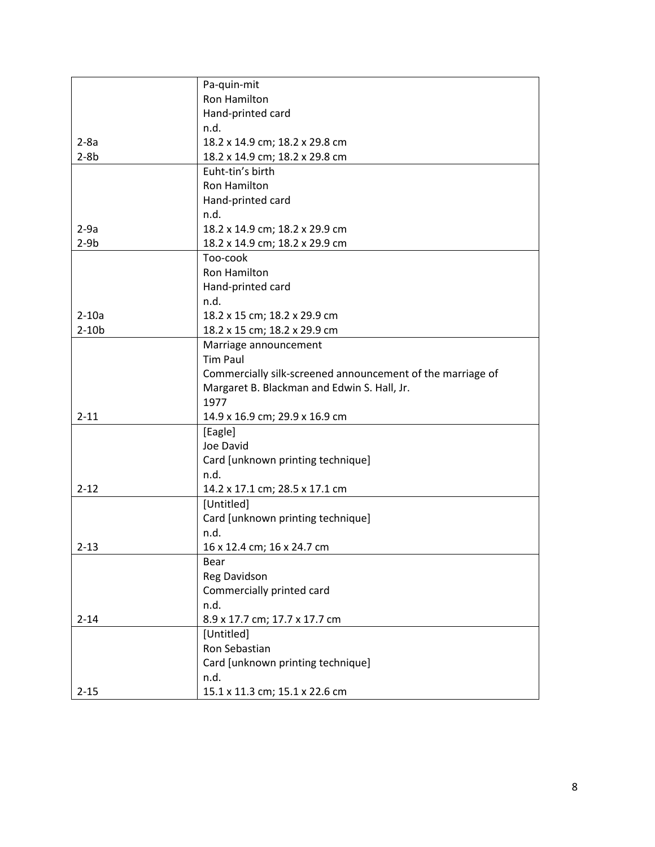|          | Pa-quin-mit                                                |
|----------|------------------------------------------------------------|
|          | <b>Ron Hamilton</b>                                        |
|          | Hand-printed card                                          |
|          | n.d.                                                       |
| $2-8a$   | 18.2 x 14.9 cm; 18.2 x 29.8 cm                             |
| $2-8b$   | 18.2 x 14.9 cm; 18.2 x 29.8 cm                             |
|          | Euht-tin's birth                                           |
|          | <b>Ron Hamilton</b>                                        |
|          | Hand-printed card                                          |
|          | n.d.                                                       |
| $2-9a$   | 18.2 x 14.9 cm; 18.2 x 29.9 cm                             |
| $2-9b$   | 18.2 x 14.9 cm; 18.2 x 29.9 cm                             |
|          | Too-cook                                                   |
|          | <b>Ron Hamilton</b>                                        |
|          | Hand-printed card                                          |
|          | n.d.                                                       |
| $2-10a$  | 18.2 x 15 cm; 18.2 x 29.9 cm                               |
| $2-10b$  | 18.2 x 15 cm; 18.2 x 29.9 cm                               |
|          | Marriage announcement                                      |
|          | <b>Tim Paul</b>                                            |
|          | Commercially silk-screened announcement of the marriage of |
|          | Margaret B. Blackman and Edwin S. Hall, Jr.                |
|          | 1977                                                       |
| $2 - 11$ | 14.9 x 16.9 cm; 29.9 x 16.9 cm                             |
|          | [Eagle]                                                    |
|          | Joe David                                                  |
|          | Card [unknown printing technique]                          |
|          | n.d.                                                       |
| $2 - 12$ | 14.2 x 17.1 cm; 28.5 x 17.1 cm                             |
|          | [Untitled]                                                 |
|          | Card [unknown printing technique]                          |
|          | n.d.                                                       |
| $2 - 13$ | 16 x 12.4 cm; 16 x 24.7 cm                                 |
|          | Bear                                                       |
|          | Reg Davidson                                               |
|          | Commercially printed card                                  |
|          | n.d.                                                       |
| $2 - 14$ | 8.9 x 17.7 cm; 17.7 x 17.7 cm                              |
|          | [Untitled]                                                 |
|          | Ron Sebastian                                              |
|          | Card [unknown printing technique]                          |
|          | n.d.                                                       |
| $2 - 15$ | 15.1 x 11.3 cm; 15.1 x 22.6 cm                             |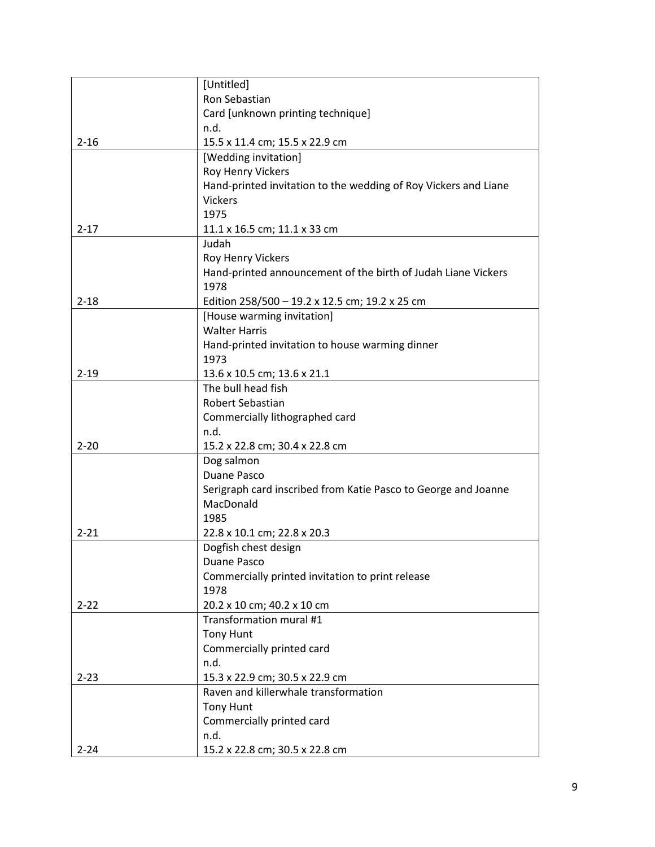|          | [Untitled]                                                                  |
|----------|-----------------------------------------------------------------------------|
|          | Ron Sebastian                                                               |
|          | Card [unknown printing technique]                                           |
|          | n.d.                                                                        |
| $2 - 16$ | 15.5 x 11.4 cm; 15.5 x 22.9 cm                                              |
|          | [Wedding invitation]                                                        |
|          | Roy Henry Vickers                                                           |
|          | Hand-printed invitation to the wedding of Roy Vickers and Liane             |
|          | <b>Vickers</b>                                                              |
|          | 1975                                                                        |
| $2 - 17$ | 11.1 x 16.5 cm; 11.1 x 33 cm                                                |
|          | Judah                                                                       |
|          | Roy Henry Vickers                                                           |
|          | Hand-printed announcement of the birth of Judah Liane Vickers               |
|          | 1978                                                                        |
| $2 - 18$ | Edition $258/500 - 19.2 \times 12.5$ cm; 19.2 x 25 cm                       |
|          | [House warming invitation]                                                  |
|          | <b>Walter Harris</b>                                                        |
|          | Hand-printed invitation to house warming dinner                             |
|          | 1973                                                                        |
| $2 - 19$ | 13.6 x 10.5 cm; 13.6 x 21.1                                                 |
|          | The bull head fish                                                          |
|          | Robert Sebastian                                                            |
|          | Commercially lithographed card                                              |
|          | n.d.                                                                        |
| $2 - 20$ | 15.2 x 22.8 cm; 30.4 x 22.8 cm                                              |
|          | Dog salmon                                                                  |
|          | Duane Pasco                                                                 |
|          | Serigraph card inscribed from Katie Pasco to George and Joanne<br>MacDonald |
|          | 1985                                                                        |
| $2 - 21$ | 22.8 x 10.1 cm; 22.8 x 20.3                                                 |
|          | Dogfish chest design                                                        |
|          | Duane Pasco                                                                 |
|          | Commercially printed invitation to print release                            |
|          | 1978                                                                        |
| $2 - 22$ | 20.2 x 10 cm; 40.2 x 10 cm                                                  |
|          | Transformation mural #1                                                     |
|          | <b>Tony Hunt</b>                                                            |
|          | Commercially printed card                                                   |
|          | n.d.                                                                        |
| $2 - 23$ | 15.3 x 22.9 cm; 30.5 x 22.9 cm                                              |
|          | Raven and killerwhale transformation                                        |
|          | <b>Tony Hunt</b>                                                            |
|          | Commercially printed card                                                   |
|          | n.d.                                                                        |
| $2 - 24$ | 15.2 x 22.8 cm; 30.5 x 22.8 cm                                              |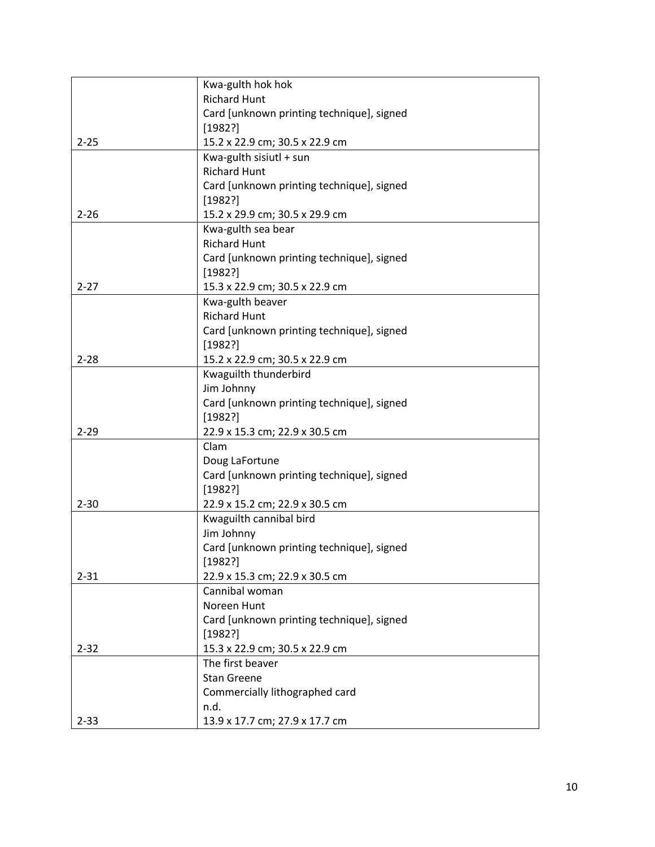|          | Kwa-gulth hok hok                         |
|----------|-------------------------------------------|
|          | <b>Richard Hunt</b>                       |
|          | Card [unknown printing technique], signed |
|          | [1982?]                                   |
| $2 - 25$ | 15.2 x 22.9 cm; 30.5 x 22.9 cm            |
|          | Kwa-gulth sisiutl + sun                   |
|          | <b>Richard Hunt</b>                       |
|          | Card [unknown printing technique], signed |
|          | [1982?]                                   |
| $2 - 26$ | 15.2 x 29.9 cm; 30.5 x 29.9 cm            |
|          | Kwa-gulth sea bear                        |
|          | <b>Richard Hunt</b>                       |
|          | Card [unknown printing technique], signed |
|          | [1982?]                                   |
| $2 - 27$ | 15.3 x 22.9 cm; 30.5 x 22.9 cm            |
|          | Kwa-gulth beaver                          |
|          | <b>Richard Hunt</b>                       |
|          | Card [unknown printing technique], signed |
|          | [1982?]                                   |
| $2 - 28$ | 15.2 x 22.9 cm; 30.5 x 22.9 cm            |
|          | Kwaguilth thunderbird                     |
|          | Jim Johnny                                |
|          | Card [unknown printing technique], signed |
|          | [1982?]                                   |
| $2 - 29$ | 22.9 x 15.3 cm; 22.9 x 30.5 cm            |
|          | Clam                                      |
|          | Doug LaFortune                            |
|          | Card [unknown printing technique], signed |
|          | [1982?]                                   |
| $2 - 30$ | 22.9 x 15.2 cm; 22.9 x 30.5 cm            |
|          | Kwaguilth cannibal bird                   |
|          | Jim Johnny                                |
|          | Card [unknown printing technique], signed |
|          | [1982?]                                   |
| $2 - 31$ | 22.9 x 15.3 cm; 22.9 x 30.5 cm            |
|          | Cannibal woman                            |
|          | Noreen Hunt                               |
|          | Card [unknown printing technique], signed |
|          | [1982?]                                   |
| $2 - 32$ | 15.3 x 22.9 cm; 30.5 x 22.9 cm            |
|          | The first beaver                          |
|          | <b>Stan Greene</b>                        |
|          | Commercially lithographed card            |
|          | n.d.                                      |
| $2 - 33$ | 13.9 x 17.7 cm; 27.9 x 17.7 cm            |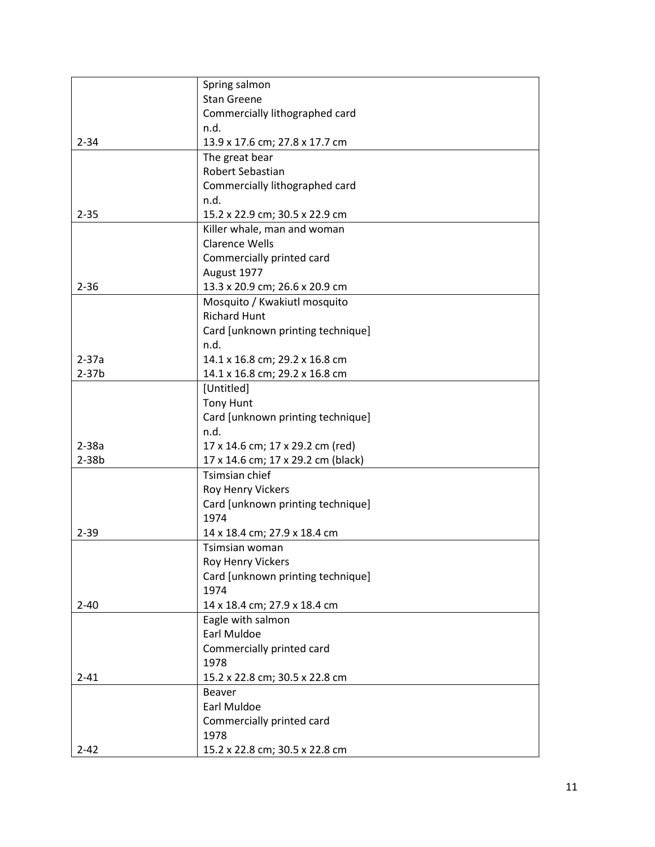|           | Spring salmon                              |
|-----------|--------------------------------------------|
|           | <b>Stan Greene</b>                         |
|           | Commercially lithographed card             |
|           | n.d.                                       |
| $2 - 34$  | 13.9 x 17.6 cm; 27.8 x 17.7 cm             |
|           | The great bear                             |
|           | Robert Sebastian                           |
|           | Commercially lithographed card             |
|           | n.d.                                       |
| $2 - 35$  | 15.2 x 22.9 cm; 30.5 x 22.9 cm             |
|           | Killer whale, man and woman                |
|           | <b>Clarence Wells</b>                      |
|           | Commercially printed card                  |
|           | August 1977                                |
| $2 - 36$  | 13.3 x 20.9 cm; 26.6 x 20.9 cm             |
|           | Mosquito / Kwakiutl mosquito               |
|           | <b>Richard Hunt</b>                        |
|           | Card [unknown printing technique]          |
|           | n.d.                                       |
| $2 - 37a$ | 14.1 x 16.8 cm; 29.2 x 16.8 cm             |
| $2-37b$   | 14.1 x 16.8 cm; 29.2 x 16.8 cm             |
|           | [Untitled]                                 |
|           | <b>Tony Hunt</b>                           |
|           | Card [unknown printing technique]          |
|           | n.d.                                       |
| $2-38a$   | 17 x 14.6 cm; 17 x 29.2 cm (red)           |
| $2-38b$   | 17 x 14.6 cm; 17 x 29.2 cm (black)         |
|           | Tsimsian chief                             |
|           | Roy Henry Vickers                          |
|           | Card [unknown printing technique]<br>1974  |
|           |                                            |
| $2 - 39$  | 14 x 18.4 cm; 27.9 x 18.4 cm               |
|           | Tsimsian woman<br><b>Roy Henry Vickers</b> |
|           | Card [unknown printing technique]          |
|           | 1974                                       |
| $2 - 40$  | 14 x 18.4 cm; 27.9 x 18.4 cm               |
|           | Eagle with salmon                          |
|           | Earl Muldoe                                |
|           | Commercially printed card                  |
|           | 1978                                       |
| $2 - 41$  | 15.2 x 22.8 cm; 30.5 x 22.8 cm             |
|           | <b>Beaver</b>                              |
|           | Earl Muldoe                                |
|           | Commercially printed card                  |
|           | 1978                                       |
| $2 - 42$  | 15.2 x 22.8 cm; 30.5 x 22.8 cm             |
|           |                                            |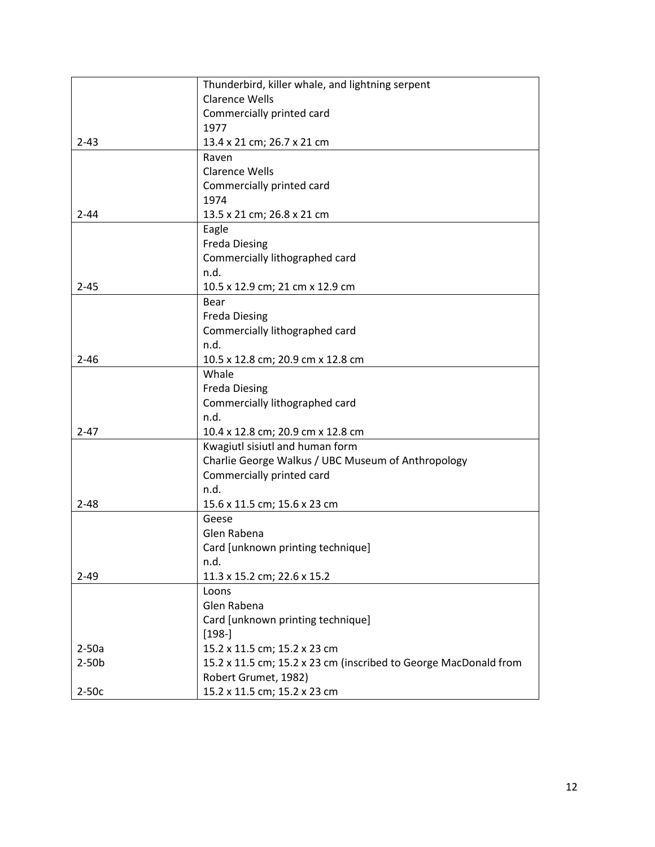|          | Thunderbird, killer whale, and lightning serpent                 |
|----------|------------------------------------------------------------------|
|          | <b>Clarence Wells</b>                                            |
|          | Commercially printed card                                        |
|          | 1977                                                             |
| $2 - 43$ | 13.4 x 21 cm; 26.7 x 21 cm                                       |
|          | Raven                                                            |
|          | <b>Clarence Wells</b>                                            |
|          | Commercially printed card                                        |
|          | 1974                                                             |
| $2 - 44$ | 13.5 x 21 cm; 26.8 x 21 cm                                       |
|          | Eagle                                                            |
|          | <b>Freda Diesing</b>                                             |
|          | Commercially lithographed card                                   |
|          | n.d.                                                             |
| $2 - 45$ | 10.5 x 12.9 cm; 21 cm x 12.9 cm                                  |
|          | Bear                                                             |
|          | <b>Freda Diesing</b>                                             |
|          | Commercially lithographed card                                   |
|          | n.d.                                                             |
| $2 - 46$ | 10.5 x 12.8 cm; 20.9 cm x 12.8 cm                                |
|          | Whale                                                            |
|          | <b>Freda Diesing</b>                                             |
|          | Commercially lithographed card                                   |
|          | n.d.                                                             |
| $2 - 47$ | 10.4 x 12.8 cm; 20.9 cm x 12.8 cm                                |
|          | Kwagiutl sisiutl and human form                                  |
|          | Charlie George Walkus / UBC Museum of Anthropology               |
|          | Commercially printed card                                        |
|          | n.d.                                                             |
| $2 - 48$ | 15.6 x 11.5 cm; 15.6 x 23 cm                                     |
|          | Geese                                                            |
|          | Glen Rabena                                                      |
|          | Card [unknown printing technique]                                |
|          | n.d.                                                             |
| $2 - 49$ | 11.3 x 15.2 cm; 22.6 x 15.2                                      |
|          | Loons                                                            |
|          | Glen Rabena                                                      |
|          | Card [unknown printing technique]                                |
|          | $[198-]$                                                         |
| $2-50a$  | 15.2 x 11.5 cm; 15.2 x 23 cm                                     |
| $2-50b$  | 15.2 x 11.5 cm; 15.2 x 23 cm (inscribed to George MacDonald from |
|          | Robert Grumet, 1982)                                             |
| $2-50c$  | 15.2 x 11.5 cm; 15.2 x 23 cm                                     |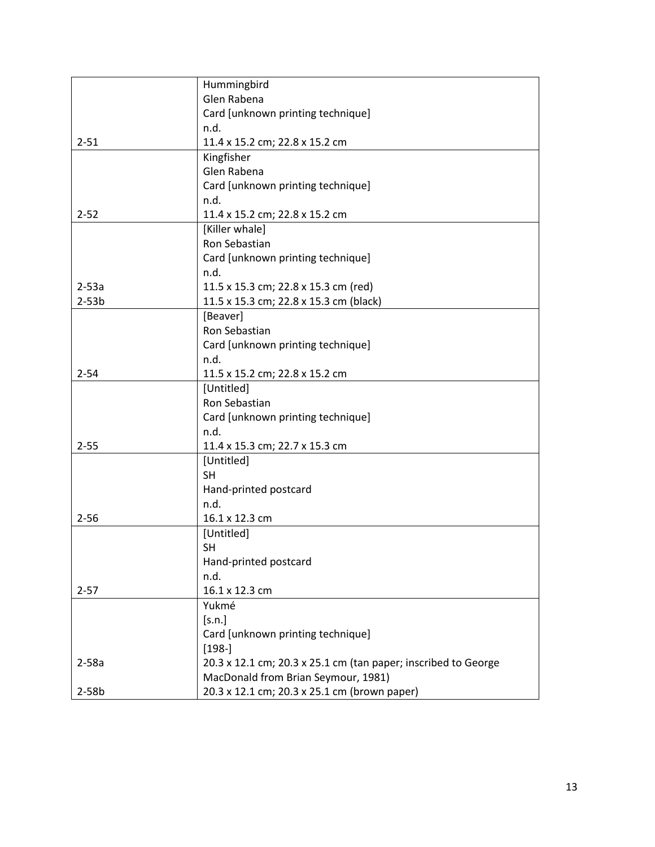|          | Hummingbird                                                    |
|----------|----------------------------------------------------------------|
|          | Glen Rabena                                                    |
|          | Card [unknown printing technique]                              |
|          | n.d.                                                           |
| $2 - 51$ | 11.4 x 15.2 cm; 22.8 x 15.2 cm                                 |
|          | Kingfisher                                                     |
|          | Glen Rabena                                                    |
|          | Card [unknown printing technique]                              |
|          | n.d.                                                           |
| $2 - 52$ | 11.4 x 15.2 cm; 22.8 x 15.2 cm                                 |
|          | [Killer whale]                                                 |
|          | Ron Sebastian                                                  |
|          | Card [unknown printing technique]                              |
|          | n.d.                                                           |
| $2-53a$  | 11.5 x 15.3 cm; 22.8 x 15.3 cm (red)                           |
| $2-53b$  | 11.5 x 15.3 cm; 22.8 x 15.3 cm (black)                         |
|          | [Beaver]                                                       |
|          | Ron Sebastian                                                  |
|          | Card [unknown printing technique]                              |
|          | n.d.                                                           |
| $2 - 54$ | 11.5 x 15.2 cm; 22.8 x 15.2 cm                                 |
|          | [Untitled]                                                     |
|          | Ron Sebastian                                                  |
|          | Card [unknown printing technique]                              |
|          | n.d.                                                           |
| $2 - 55$ | 11.4 x 15.3 cm; 22.7 x 15.3 cm                                 |
|          | [Untitled]                                                     |
|          | <b>SH</b>                                                      |
|          | Hand-printed postcard                                          |
|          | n.d.                                                           |
| $2 - 56$ | 16.1 x 12.3 cm                                                 |
|          | [Untitled]                                                     |
|          | <b>SH</b>                                                      |
|          | Hand-printed postcard                                          |
|          | n.d.                                                           |
| $2 - 57$ | 16.1 x 12.3 cm                                                 |
|          | Yukmé                                                          |
|          | [s.n.]                                                         |
|          | Card [unknown printing technique]                              |
|          | $[198-]$                                                       |
| $2-58a$  | 20.3 x 12.1 cm; 20.3 x 25.1 cm (tan paper; inscribed to George |
|          | MacDonald from Brian Seymour, 1981)                            |
| $2-58b$  | 20.3 x 12.1 cm; 20.3 x 25.1 cm (brown paper)                   |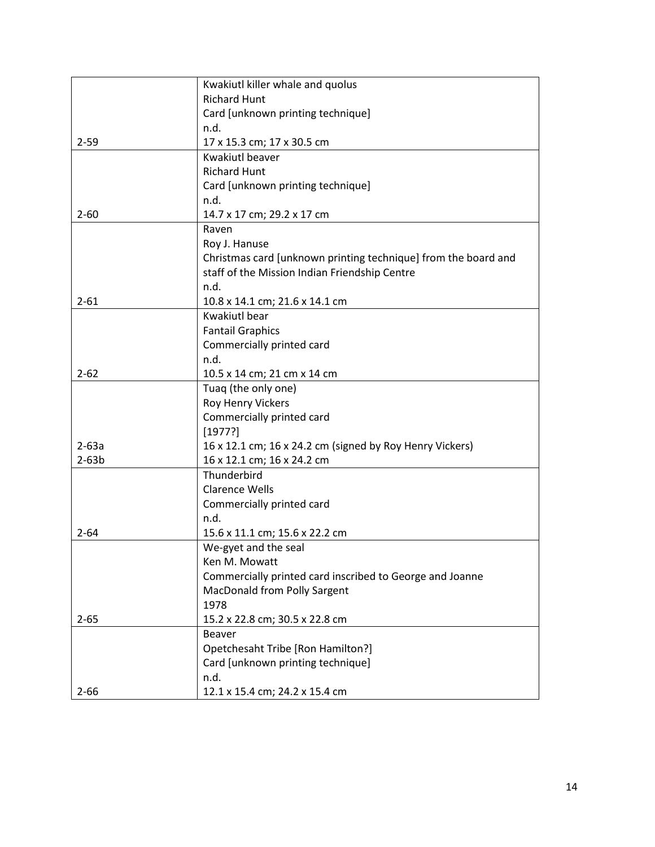|          | Kwakiutl killer whale and quolus                               |
|----------|----------------------------------------------------------------|
|          | <b>Richard Hunt</b>                                            |
|          | Card [unknown printing technique]                              |
|          | n.d.                                                           |
| $2 - 59$ | 17 x 15.3 cm; 17 x 30.5 cm                                     |
|          | <b>Kwakiutl beaver</b>                                         |
|          | <b>Richard Hunt</b>                                            |
|          | Card [unknown printing technique]                              |
|          | n.d.                                                           |
| $2 - 60$ | 14.7 x 17 cm; 29.2 x 17 cm                                     |
|          | Raven                                                          |
|          | Roy J. Hanuse                                                  |
|          | Christmas card [unknown printing technique] from the board and |
|          | staff of the Mission Indian Friendship Centre                  |
|          | n.d.                                                           |
| $2 - 61$ | 10.8 x 14.1 cm; 21.6 x 14.1 cm                                 |
|          | Kwakiutl bear                                                  |
|          | <b>Fantail Graphics</b>                                        |
|          | Commercially printed card                                      |
|          | n.d.                                                           |
| $2 - 62$ | 10.5 x 14 cm; 21 cm x 14 cm                                    |
|          | Tuaq (the only one)                                            |
|          | Roy Henry Vickers                                              |
|          | Commercially printed card                                      |
|          | [1977?]                                                        |
| $2-63a$  | 16 x 12.1 cm; 16 x 24.2 cm (signed by Roy Henry Vickers)       |
| $2-63b$  | 16 x 12.1 cm; 16 x 24.2 cm                                     |
|          | Thunderbird                                                    |
|          | <b>Clarence Wells</b>                                          |
|          | Commercially printed card                                      |
|          | n.d.                                                           |
| $2 - 64$ | 15.6 x 11.1 cm; 15.6 x 22.2 cm                                 |
|          | We-gyet and the seal                                           |
|          | Ken M. Mowatt                                                  |
|          | Commercially printed card inscribed to George and Joanne       |
|          | MacDonald from Polly Sargent                                   |
|          | 1978                                                           |
| $2 - 65$ | 15.2 x 22.8 cm; 30.5 x 22.8 cm                                 |
|          | Beaver                                                         |
|          | Opetchesaht Tribe [Ron Hamilton?]                              |
|          | Card [unknown printing technique]                              |
|          | n.d.                                                           |
| $2 - 66$ | 12.1 x 15.4 cm; 24.2 x 15.4 cm                                 |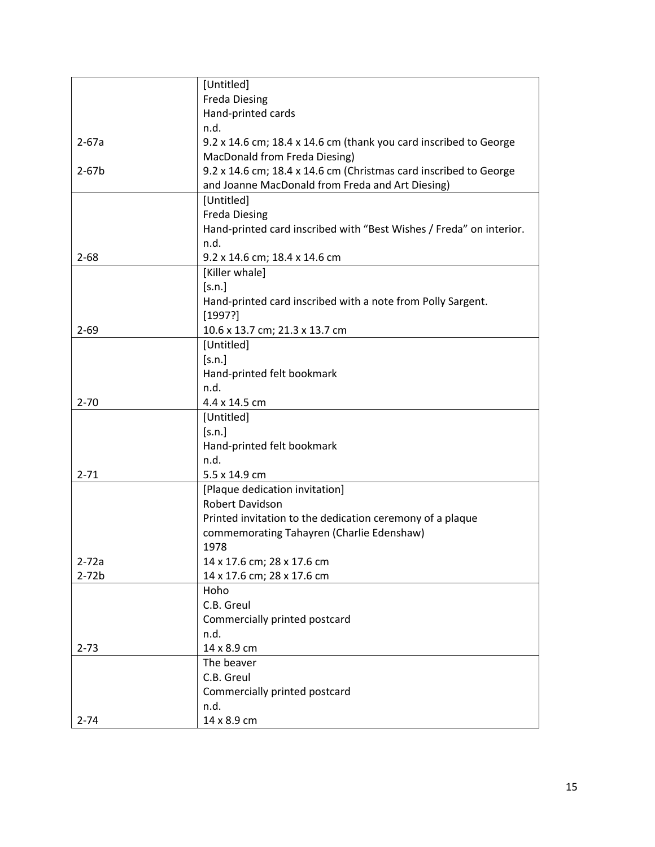|           | [Untitled]                                                          |
|-----------|---------------------------------------------------------------------|
|           | <b>Freda Diesing</b>                                                |
|           | Hand-printed cards                                                  |
|           | n.d.                                                                |
| $2 - 67a$ | 9.2 x 14.6 cm; 18.4 x 14.6 cm (thank you card inscribed to George   |
|           | MacDonald from Freda Diesing)                                       |
| $2 - 67b$ | 9.2 x 14.6 cm; 18.4 x 14.6 cm (Christmas card inscribed to George   |
|           | and Joanne MacDonald from Freda and Art Diesing)                    |
|           | [Untitled]                                                          |
|           | <b>Freda Diesing</b>                                                |
|           | Hand-printed card inscribed with "Best Wishes / Freda" on interior. |
|           | n.d.                                                                |
| $2 - 68$  | 9.2 x 14.6 cm; 18.4 x 14.6 cm                                       |
|           | [Killer whale]                                                      |
|           | [s.n.]                                                              |
|           | Hand-printed card inscribed with a note from Polly Sargent.         |
|           | [1997?]                                                             |
| $2 - 69$  | 10.6 x 13.7 cm; 21.3 x 13.7 cm                                      |
|           | [Untitled]                                                          |
|           | [s.n.]                                                              |
|           | Hand-printed felt bookmark                                          |
|           | n.d.                                                                |
| $2 - 70$  | 4.4 x 14.5 cm                                                       |
|           | [Untitled]                                                          |
|           | [s.n.]                                                              |
|           | Hand-printed felt bookmark                                          |
|           | n.d.                                                                |
| $2 - 71$  | 5.5 x 14.9 cm                                                       |
|           | [Plaque dedication invitation]                                      |
|           | Robert Davidson                                                     |
|           | Printed invitation to the dedication ceremony of a plaque           |
|           | commemorating Tahayren (Charlie Edenshaw)                           |
|           | 1978                                                                |
| $2 - 72a$ | 14 x 17.6 cm; 28 x 17.6 cm                                          |
| $2-72b$   | 14 x 17.6 cm; 28 x 17.6 cm                                          |
|           | Hoho                                                                |
|           | C.B. Greul                                                          |
|           | Commercially printed postcard                                       |
|           | n.d.                                                                |
| $2 - 73$  | 14 x 8.9 cm                                                         |
|           | The beaver                                                          |
|           | C.B. Greul                                                          |
|           | Commercially printed postcard                                       |
|           | n.d.                                                                |
| $2 - 74$  | 14 x 8.9 cm                                                         |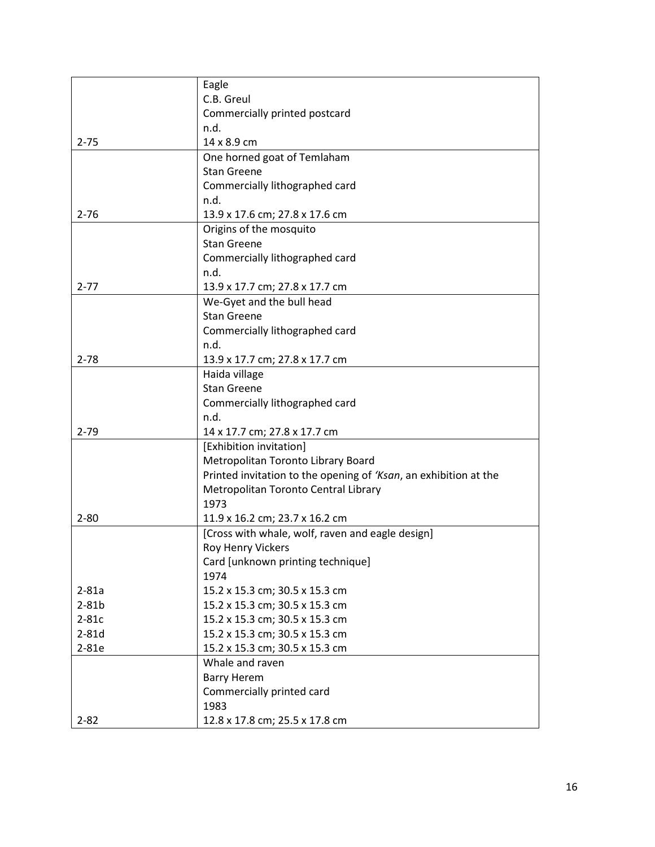|           | Eagle                                                            |
|-----------|------------------------------------------------------------------|
|           | C.B. Greul                                                       |
|           | Commercially printed postcard                                    |
|           | n.d.                                                             |
| $2 - 75$  | 14 x 8.9 cm                                                      |
|           | One horned goat of Temlaham                                      |
|           | <b>Stan Greene</b>                                               |
|           | Commercially lithographed card                                   |
|           | n.d.                                                             |
| $2 - 76$  | 13.9 x 17.6 cm; 27.8 x 17.6 cm                                   |
|           | Origins of the mosquito                                          |
|           | <b>Stan Greene</b>                                               |
|           | Commercially lithographed card                                   |
|           | n.d.                                                             |
| $2 - 77$  | 13.9 x 17.7 cm; 27.8 x 17.7 cm                                   |
|           | We-Gyet and the bull head                                        |
|           | <b>Stan Greene</b>                                               |
|           | Commercially lithographed card                                   |
|           | n.d.                                                             |
| $2 - 78$  | 13.9 x 17.7 cm; 27.8 x 17.7 cm                                   |
|           | Haida village                                                    |
|           | <b>Stan Greene</b>                                               |
|           | Commercially lithographed card                                   |
|           | n.d.                                                             |
| $2 - 79$  | 14 x 17.7 cm; 27.8 x 17.7 cm                                     |
|           | [Exhibition invitation]                                          |
|           | Metropolitan Toronto Library Board                               |
|           | Printed invitation to the opening of 'Ksan, an exhibition at the |
|           | Metropolitan Toronto Central Library                             |
|           | 1973                                                             |
| $2 - 80$  | 11.9 x 16.2 cm; 23.7 x 16.2 cm                                   |
|           | [Cross with whale, wolf, raven and eagle design]                 |
|           | Roy Henry Vickers                                                |
|           | Card [unknown printing technique]                                |
|           | 1974                                                             |
| $2 - 81a$ | 15.2 x 15.3 cm; 30.5 x 15.3 cm                                   |
| $2-81b$   | 15.2 x 15.3 cm; 30.5 x 15.3 cm                                   |
| $2-81c$   | 15.2 x 15.3 cm; 30.5 x 15.3 cm                                   |
| $2-81d$   | 15.2 x 15.3 cm; 30.5 x 15.3 cm                                   |
| 2-81e     | 15.2 x 15.3 cm; 30.5 x 15.3 cm                                   |
|           | Whale and raven                                                  |
|           | <b>Barry Herem</b>                                               |
|           | Commercially printed card                                        |
|           | 1983                                                             |
| $2 - 82$  | 12.8 x 17.8 cm; 25.5 x 17.8 cm                                   |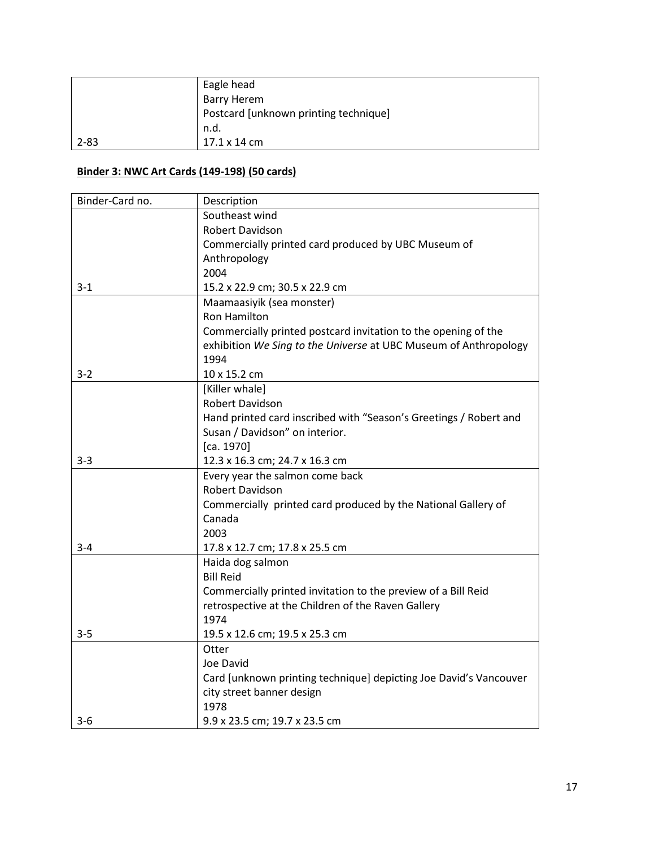|          | Eagle head                            |
|----------|---------------------------------------|
|          | <b>Barry Herem</b>                    |
|          | Postcard [unknown printing technique] |
|          | n.d.                                  |
| $2 - 83$ | $17.1 \times 14 \text{ cm}$           |

## **Binder 3: NWC Art Cards (149-198) (50 cards)**

| Binder-Card no. | Description                                                       |
|-----------------|-------------------------------------------------------------------|
|                 | Southeast wind                                                    |
|                 | <b>Robert Davidson</b>                                            |
|                 | Commercially printed card produced by UBC Museum of               |
|                 | Anthropology                                                      |
|                 | 2004                                                              |
| $3 - 1$         | 15.2 x 22.9 cm; 30.5 x 22.9 cm                                    |
|                 | Maamaasiyik (sea monster)                                         |
|                 | <b>Ron Hamilton</b>                                               |
|                 | Commercially printed postcard invitation to the opening of the    |
|                 | exhibition We Sing to the Universe at UBC Museum of Anthropology  |
|                 | 1994                                                              |
| $3 - 2$         | 10 x 15.2 cm                                                      |
|                 | [Killer whale]                                                    |
|                 | <b>Robert Davidson</b>                                            |
|                 | Hand printed card inscribed with "Season's Greetings / Robert and |
|                 | Susan / Davidson" on interior.                                    |
|                 | [ca. 1970]                                                        |
| $3 - 3$         | 12.3 x 16.3 cm; 24.7 x 16.3 cm                                    |
|                 | Every year the salmon come back                                   |
|                 | <b>Robert Davidson</b>                                            |
|                 | Commercially printed card produced by the National Gallery of     |
|                 | Canada                                                            |
|                 | 2003                                                              |
| $3 - 4$         | 17.8 x 12.7 cm; 17.8 x 25.5 cm                                    |
|                 | Haida dog salmon                                                  |
|                 | <b>Bill Reid</b>                                                  |
|                 | Commercially printed invitation to the preview of a Bill Reid     |
|                 | retrospective at the Children of the Raven Gallery                |
|                 | 1974                                                              |
| $3 - 5$         | 19.5 x 12.6 cm; 19.5 x 25.3 cm                                    |
|                 | Otter                                                             |
|                 | Joe David                                                         |
|                 | Card [unknown printing technique] depicting Joe David's Vancouver |
|                 | city street banner design                                         |
|                 | 1978                                                              |
| $3-6$           | 9.9 x 23.5 cm; 19.7 x 23.5 cm                                     |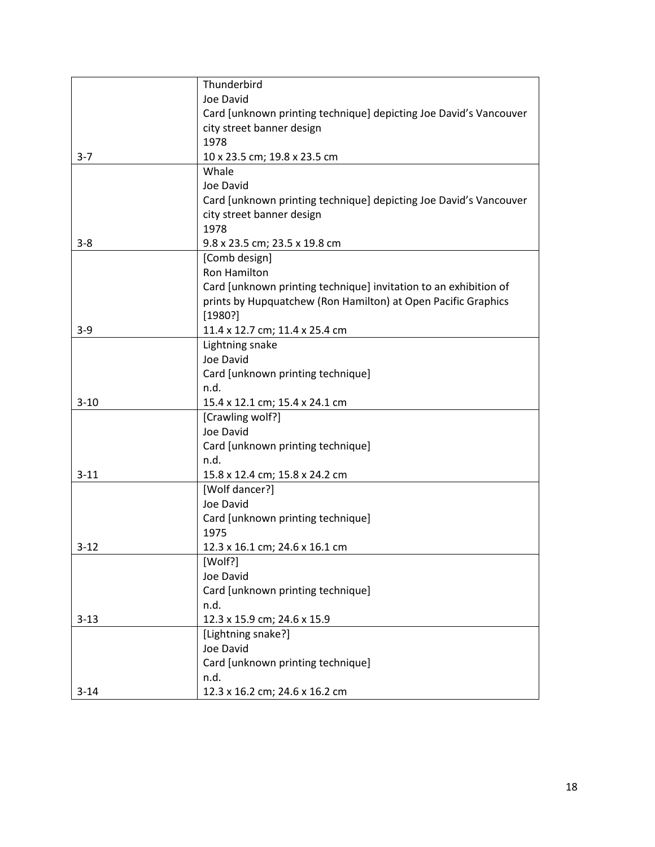|          | Thunderbird                                                       |
|----------|-------------------------------------------------------------------|
|          | Joe David                                                         |
|          | Card [unknown printing technique] depicting Joe David's Vancouver |
|          | city street banner design                                         |
|          | 1978                                                              |
| $3 - 7$  | 10 x 23.5 cm; 19.8 x 23.5 cm                                      |
|          | Whale                                                             |
|          | Joe David                                                         |
|          | Card [unknown printing technique] depicting Joe David's Vancouver |
|          | city street banner design                                         |
|          | 1978                                                              |
| $3 - 8$  | 9.8 x 23.5 cm; 23.5 x 19.8 cm                                     |
|          | [Comb design]                                                     |
|          | <b>Ron Hamilton</b>                                               |
|          | Card [unknown printing technique] invitation to an exhibition of  |
|          | prints by Hupquatchew (Ron Hamilton) at Open Pacific Graphics     |
|          | [1980?]                                                           |
| $3 - 9$  | 11.4 x 12.7 cm; 11.4 x 25.4 cm                                    |
|          | Lightning snake                                                   |
|          | Joe David                                                         |
|          | Card [unknown printing technique]                                 |
|          | n.d.                                                              |
| $3 - 10$ | 15.4 x 12.1 cm; 15.4 x 24.1 cm                                    |
|          | [Crawling wolf?]                                                  |
|          | Joe David                                                         |
|          | Card [unknown printing technique]                                 |
|          | n.d.                                                              |
| $3 - 11$ | 15.8 x 12.4 cm; 15.8 x 24.2 cm                                    |
|          | [Wolf dancer?]                                                    |
|          | Joe David                                                         |
|          | Card [unknown printing technique]                                 |
|          | 1975                                                              |
| $3 - 12$ | 12.3 x 16.1 cm; 24.6 x 16.1 cm                                    |
|          | [Wolf?]                                                           |
|          | Joe David                                                         |
|          | Card [unknown printing technique]                                 |
|          | n.d.                                                              |
| $3 - 13$ | 12.3 x 15.9 cm; 24.6 x 15.9                                       |
|          | [Lightning snake?]                                                |
|          | Joe David                                                         |
|          | Card [unknown printing technique]                                 |
|          | n.d.                                                              |
| $3 - 14$ | 12.3 x 16.2 cm; 24.6 x 16.2 cm                                    |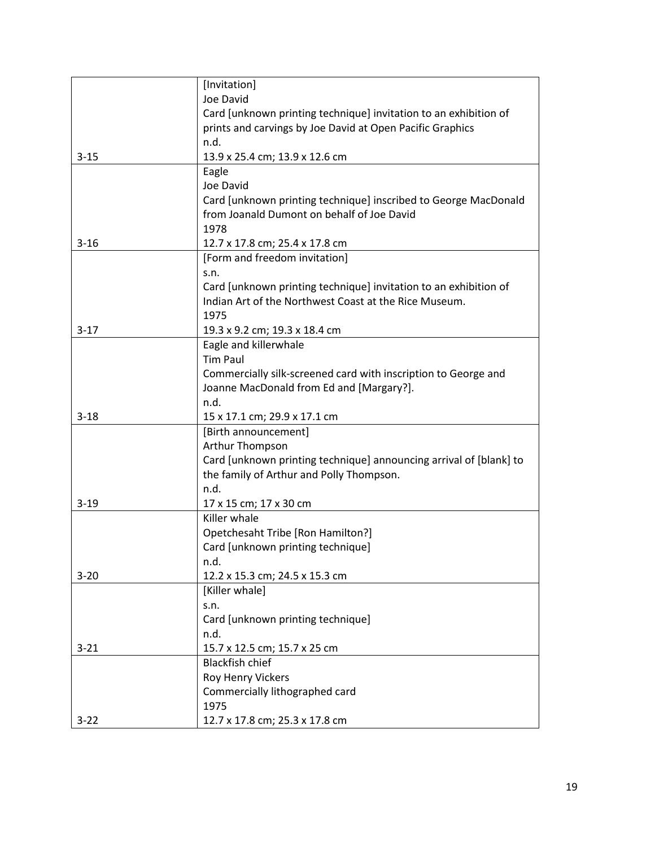|          | [Invitation]                                                       |
|----------|--------------------------------------------------------------------|
|          | Joe David                                                          |
|          | Card [unknown printing technique] invitation to an exhibition of   |
|          | prints and carvings by Joe David at Open Pacific Graphics          |
|          | n.d.                                                               |
| $3 - 15$ | 13.9 x 25.4 cm; 13.9 x 12.6 cm                                     |
|          | Eagle                                                              |
|          | Joe David                                                          |
|          | Card [unknown printing technique] inscribed to George MacDonald    |
|          | from Joanald Dumont on behalf of Joe David                         |
|          | 1978                                                               |
| $3 - 16$ | 12.7 x 17.8 cm; 25.4 x 17.8 cm                                     |
|          | [Form and freedom invitation]                                      |
|          | s.n.                                                               |
|          | Card [unknown printing technique] invitation to an exhibition of   |
|          | Indian Art of the Northwest Coast at the Rice Museum.              |
|          | 1975                                                               |
| $3-17$   | 19.3 x 9.2 cm; 19.3 x 18.4 cm                                      |
|          | Eagle and killerwhale                                              |
|          | <b>Tim Paul</b>                                                    |
|          | Commercially silk-screened card with inscription to George and     |
|          | Joanne MacDonald from Ed and [Margary?].                           |
|          | n.d.                                                               |
| $3 - 18$ | 15 x 17.1 cm; 29.9 x 17.1 cm                                       |
|          | [Birth announcement]                                               |
|          | Arthur Thompson                                                    |
|          | Card [unknown printing technique] announcing arrival of [blank] to |
|          | the family of Arthur and Polly Thompson.                           |
|          | n.d.                                                               |
| $3 - 19$ | 17 x 15 cm; 17 x 30 cm                                             |
|          | Killer whale                                                       |
|          | Opetchesaht Tribe [Ron Hamilton?]                                  |
|          | Card [unknown printing technique]                                  |
|          | n.d.                                                               |
| $3 - 20$ | 12.2 x 15.3 cm; 24.5 x 15.3 cm                                     |
|          | [Killer whale]                                                     |
|          | S.n.                                                               |
|          | Card [unknown printing technique]                                  |
|          | n.d.                                                               |
| $3 - 21$ | 15.7 x 12.5 cm; 15.7 x 25 cm                                       |
|          | <b>Blackfish chief</b>                                             |
|          | Roy Henry Vickers                                                  |
|          | Commercially lithographed card                                     |
|          | 1975                                                               |
| $3 - 22$ | 12.7 x 17.8 cm; 25.3 x 17.8 cm                                     |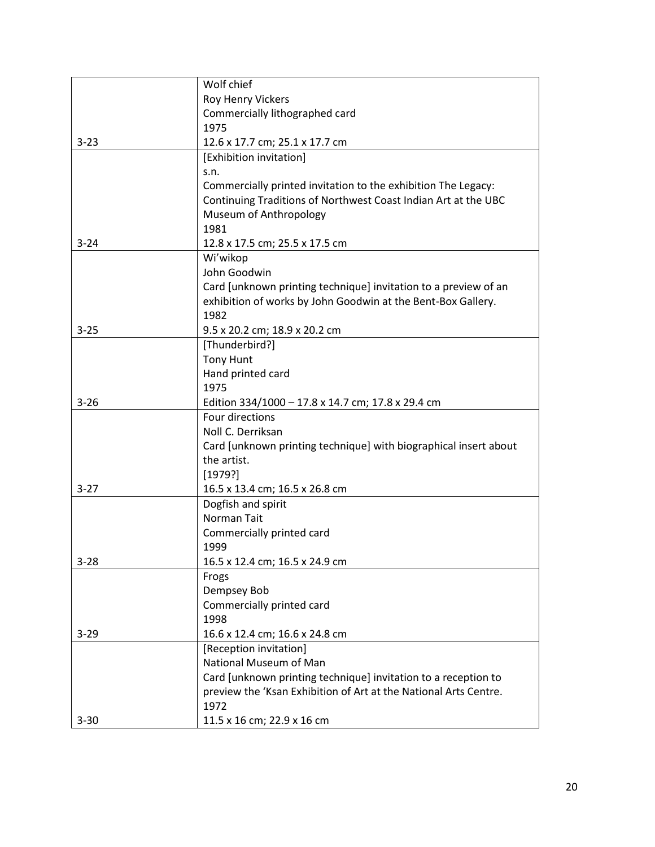|          | Wolf chief                                                                      |
|----------|---------------------------------------------------------------------------------|
|          | Roy Henry Vickers                                                               |
|          | Commercially lithographed card                                                  |
|          | 1975                                                                            |
| $3 - 23$ | 12.6 x 17.7 cm; 25.1 x 17.7 cm                                                  |
|          | [Exhibition invitation]                                                         |
|          | S.n.                                                                            |
|          | Commercially printed invitation to the exhibition The Legacy:                   |
|          | Continuing Traditions of Northwest Coast Indian Art at the UBC                  |
|          | Museum of Anthropology                                                          |
|          | 1981                                                                            |
| $3 - 24$ | 12.8 x 17.5 cm; 25.5 x 17.5 cm                                                  |
|          | Wi'wikop                                                                        |
|          | John Goodwin                                                                    |
|          | Card [unknown printing technique] invitation to a preview of an                 |
|          | exhibition of works by John Goodwin at the Bent-Box Gallery.                    |
|          | 1982                                                                            |
| $3 - 25$ | 9.5 x 20.2 cm; 18.9 x 20.2 cm                                                   |
|          | [Thunderbird?]                                                                  |
|          | <b>Tony Hunt</b>                                                                |
|          | Hand printed card                                                               |
|          | 1975                                                                            |
| $3 - 26$ | Edition 334/1000 - 17.8 x 14.7 cm; 17.8 x 29.4 cm                               |
|          | Four directions                                                                 |
|          | Noll C. Derriksan                                                               |
|          | Card [unknown printing technique] with biographical insert about<br>the artist. |
|          | [1979?]                                                                         |
| $3 - 27$ | 16.5 x 13.4 cm; 16.5 x 26.8 cm                                                  |
|          | Dogfish and spirit                                                              |
|          | Norman Tait                                                                     |
|          | Commercially printed card                                                       |
|          | 1999                                                                            |
| $3 - 28$ | 16.5 x 12.4 cm; 16.5 x 24.9 cm                                                  |
|          | Frogs                                                                           |
|          | Dempsey Bob                                                                     |
|          | Commercially printed card                                                       |
|          | 1998                                                                            |
| $3 - 29$ | 16.6 x 12.4 cm; 16.6 x 24.8 cm                                                  |
|          | [Reception invitation]                                                          |
|          | National Museum of Man                                                          |
|          | Card [unknown printing technique] invitation to a reception to                  |
|          | preview the 'Ksan Exhibition of Art at the National Arts Centre.                |
|          | 1972                                                                            |
| $3 - 30$ | 11.5 x 16 cm; 22.9 x 16 cm                                                      |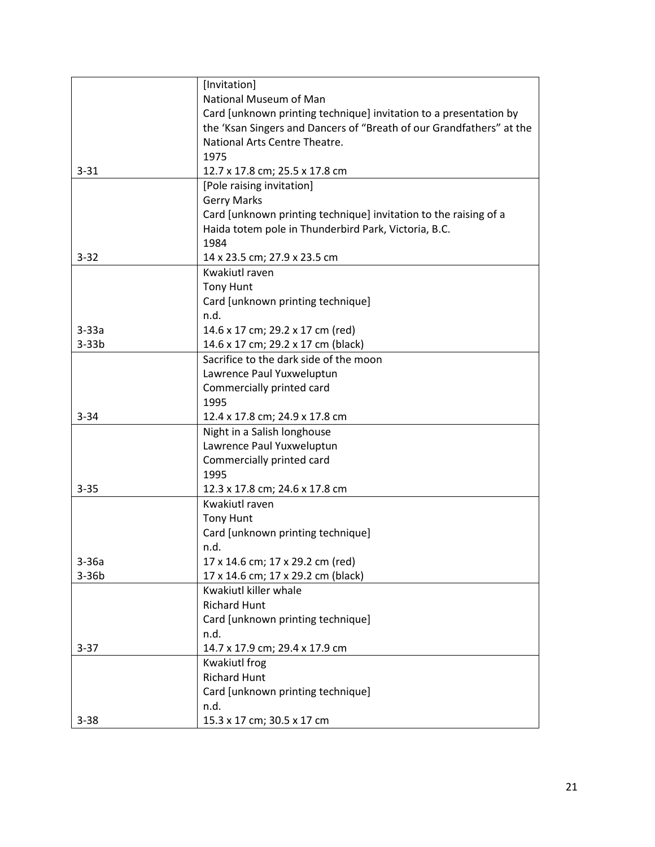|          | [Invitation]                                                         |
|----------|----------------------------------------------------------------------|
|          | National Museum of Man                                               |
|          | Card [unknown printing technique] invitation to a presentation by    |
|          | the 'Ksan Singers and Dancers of "Breath of our Grandfathers" at the |
|          | National Arts Centre Theatre.                                        |
|          | 1975                                                                 |
| $3 - 31$ | 12.7 x 17.8 cm; 25.5 x 17.8 cm                                       |
|          | [Pole raising invitation]                                            |
|          | <b>Gerry Marks</b>                                                   |
|          | Card [unknown printing technique] invitation to the raising of a     |
|          | Haida totem pole in Thunderbird Park, Victoria, B.C.                 |
|          | 1984                                                                 |
| $3 - 32$ | 14 x 23.5 cm; 27.9 x 23.5 cm                                         |
|          | Kwakiutl raven                                                       |
|          | <b>Tony Hunt</b>                                                     |
|          | Card [unknown printing technique]                                    |
|          | n.d.                                                                 |
| $3-33a$  | 14.6 x 17 cm; 29.2 x 17 cm (red)                                     |
| $3-33b$  | 14.6 x 17 cm; 29.2 x 17 cm (black)                                   |
|          | Sacrifice to the dark side of the moon                               |
|          | Lawrence Paul Yuxweluptun                                            |
|          | Commercially printed card                                            |
|          | 1995                                                                 |
| $3 - 34$ | 12.4 x 17.8 cm; 24.9 x 17.8 cm                                       |
|          | Night in a Salish longhouse                                          |
|          | Lawrence Paul Yuxweluptun                                            |
|          | Commercially printed card                                            |
|          | 1995                                                                 |
| $3 - 35$ | 12.3 x 17.8 cm; 24.6 x 17.8 cm                                       |
|          | Kwakiutl raven                                                       |
|          | <b>Tony Hunt</b>                                                     |
|          | Card [unknown printing technique]                                    |
|          | n.d.                                                                 |
| $3-36a$  | 17 x 14.6 cm; 17 x 29.2 cm (red)                                     |
| $3-36b$  | 17 x 14.6 cm; 17 x 29.2 cm (black)                                   |
|          | Kwakiutl killer whale                                                |
|          | <b>Richard Hunt</b>                                                  |
|          | Card [unknown printing technique]                                    |
|          | n.d.                                                                 |
| $3 - 37$ | 14.7 x 17.9 cm; 29.4 x 17.9 cm                                       |
|          | Kwakiutl frog                                                        |
|          | <b>Richard Hunt</b>                                                  |
|          | Card [unknown printing technique]                                    |
|          | n.d.                                                                 |
| $3 - 38$ | 15.3 x 17 cm; 30.5 x 17 cm                                           |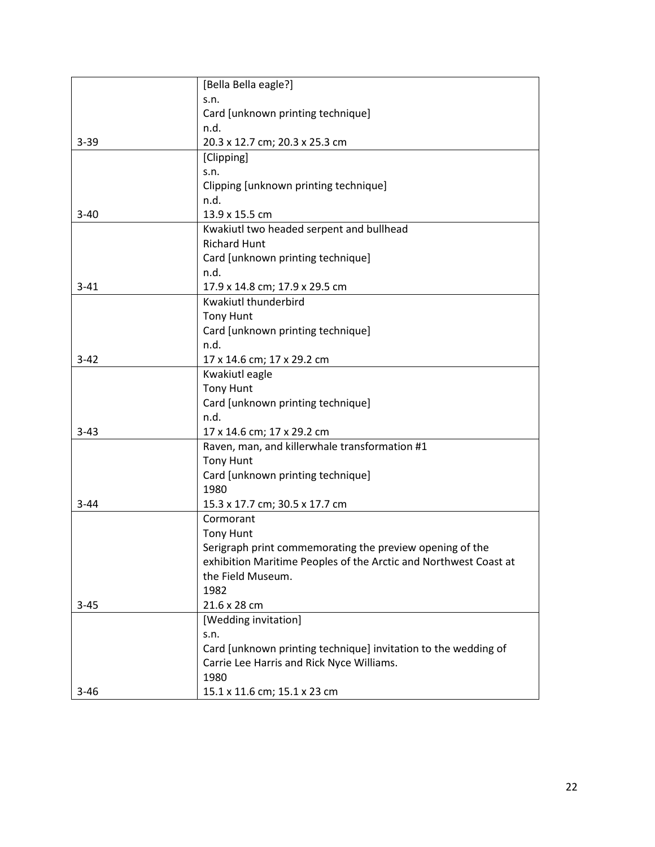|          | [Bella Bella eagle?]                                             |
|----------|------------------------------------------------------------------|
|          | S.n.                                                             |
|          | Card [unknown printing technique]                                |
|          | n.d.                                                             |
| $3 - 39$ | 20.3 x 12.7 cm; 20.3 x 25.3 cm                                   |
|          | [Clipping]                                                       |
|          | S.n.                                                             |
|          | Clipping [unknown printing technique]                            |
|          | n.d.                                                             |
| $3 - 40$ | 13.9 x 15.5 cm                                                   |
|          | Kwakiutl two headed serpent and bullhead                         |
|          | <b>Richard Hunt</b>                                              |
|          | Card [unknown printing technique]                                |
|          | n.d.                                                             |
| $3 - 41$ | 17.9 x 14.8 cm; 17.9 x 29.5 cm                                   |
|          | Kwakiutl thunderbird                                             |
|          | <b>Tony Hunt</b>                                                 |
|          | Card [unknown printing technique]                                |
|          | n.d.                                                             |
| $3 - 42$ | 17 x 14.6 cm; 17 x 29.2 cm                                       |
|          | Kwakiutl eagle                                                   |
|          | <b>Tony Hunt</b>                                                 |
|          | Card [unknown printing technique]                                |
|          | n.d.                                                             |
| $3 - 43$ | 17 x 14.6 cm; 17 x 29.2 cm                                       |
|          | Raven, man, and killerwhale transformation #1                    |
|          | <b>Tony Hunt</b>                                                 |
|          | Card [unknown printing technique]                                |
|          | 1980                                                             |
| $3 - 44$ | 15.3 x 17.7 cm; 30.5 x 17.7 cm                                   |
|          | Cormorant                                                        |
|          | <b>Tony Hunt</b>                                                 |
|          | Serigraph print commemorating the preview opening of the         |
|          | exhibition Maritime Peoples of the Arctic and Northwest Coast at |
|          | the Field Museum.                                                |
|          | 1982                                                             |
| $3 - 45$ | 21.6 x 28 cm                                                     |
|          | [Wedding invitation]                                             |
|          | S.n.                                                             |
|          | Card [unknown printing technique] invitation to the wedding of   |
|          | Carrie Lee Harris and Rick Nyce Williams.                        |
|          | 1980                                                             |
| $3 - 46$ | 15.1 x 11.6 cm; 15.1 x 23 cm                                     |